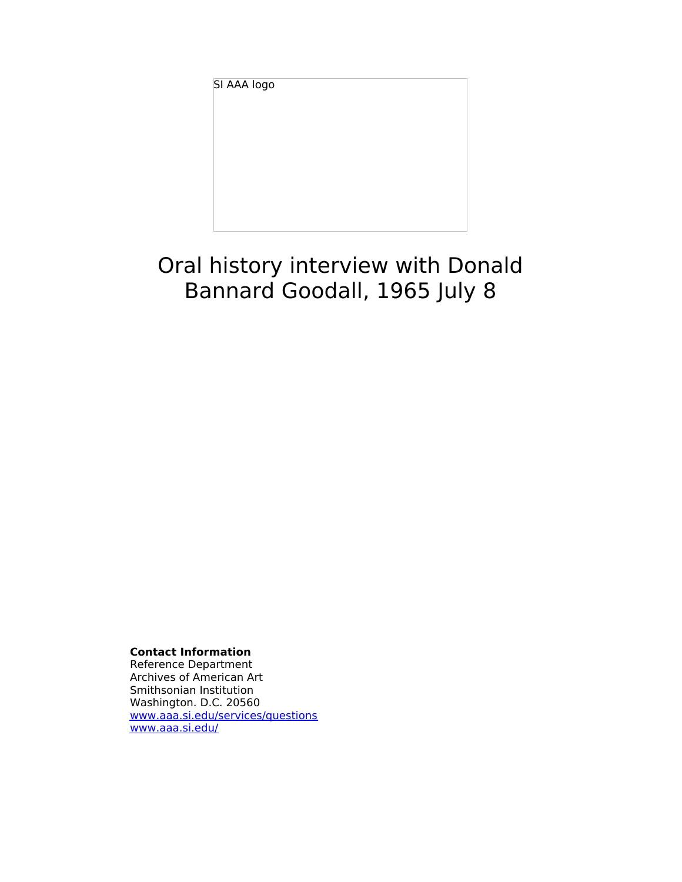SI AAA logo

# Oral history interview with Donald Bannard Goodall, 1965 July 8

**Contact Information**

Reference Department Archives of American Art Smithsonian Institution Washington. D.C. 20560 [www.aaa.si.edu/services/questions](http://www.aaa.si.edu/services/questions) [www.aaa.si.edu/](http://www.aaa.si.edu/)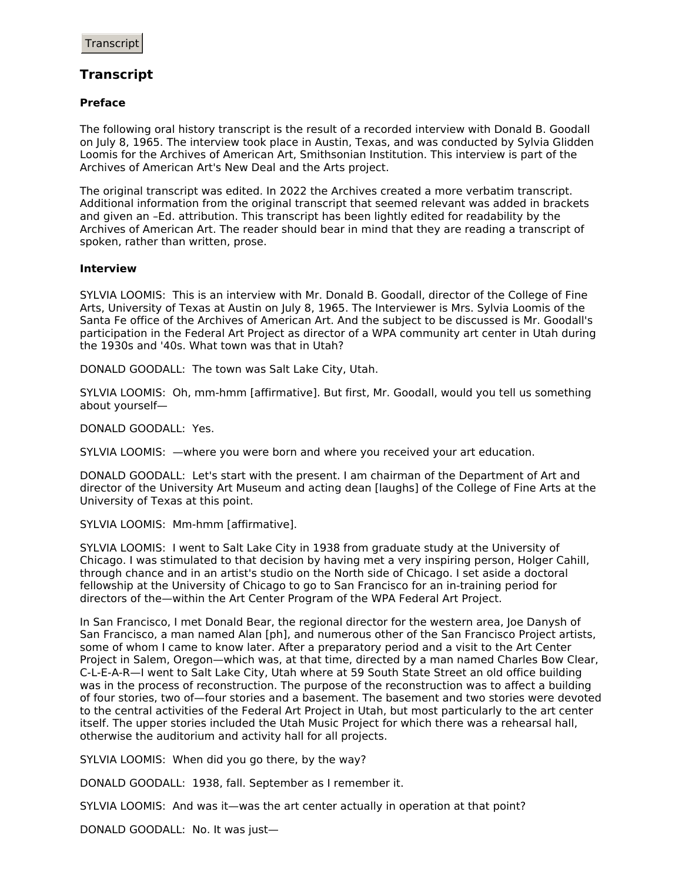## **Transcript**

## **Preface**

The following oral history transcript is the result of a recorded interview with Donald B. Goodall on July 8, 1965. The interview took place in Austin, Texas, and was conducted by Sylvia Glidden Loomis for the Archives of American Art, Smithsonian Institution. This interview is part of the Archives of American Art's New Deal and the Arts project.

The original transcript was edited. In 2022 the Archives created a more verbatim transcript. Additional information from the original transcript that seemed relevant was added in brackets and given an –Ed. attribution. This transcript has been lightly edited for readability by the Archives of American Art. The reader should bear in mind that they are reading a transcript of spoken, rather than written, prose.

## **Interview**

SYLVIA LOOMIS: This is an interview with Mr. Donald B. Goodall, director of the College of Fine Arts, University of Texas at Austin on July 8, 1965. The Interviewer is Mrs. Sylvia Loomis of the Santa Fe office of the Archives of American Art. And the subject to be discussed is Mr. Goodall's participation in the Federal Art Project as director of a WPA community art center in Utah during the 1930s and '40s. What town was that in Utah?

DONALD GOODALL: The town was Salt Lake City, Utah.

SYLVIA LOOMIS: Oh, mm-hmm [affirmative]. But first, Mr. Goodall, would you tell us something about yourself—

DONALD GOODALL: Yes.

SYLVIA LOOMIS: —where you were born and where you received your art education.

DONALD GOODALL: Let's start with the present. I am chairman of the Department of Art and director of the University Art Museum and acting dean [laughs] of the College of Fine Arts at the University of Texas at this point.

SYLVIA LOOMIS: Mm-hmm [affirmative].

SYLVIA LOOMIS: I went to Salt Lake City in 1938 from graduate study at the University of Chicago. I was stimulated to that decision by having met a very inspiring person, Holger Cahill, through chance and in an artist's studio on the North side of Chicago. I set aside a doctoral fellowship at the University of Chicago to go to San Francisco for an in-training period for directors of the—within the Art Center Program of the WPA Federal Art Project.

In San Francisco, I met Donald Bear, the regional director for the western area, Joe Danysh of San Francisco, a man named Alan [ph], and numerous other of the San Francisco Project artists, some of whom I came to know later. After a preparatory period and a visit to the Art Center Project in Salem, Oregon—which was, at that time, directed by a man named Charles Bow Clear, C-L-E-A-R—I went to Salt Lake City, Utah where at 59 South State Street an old office building was in the process of reconstruction. The purpose of the reconstruction was to affect a building of four stories, two of—four stories and a basement. The basement and two stories were devoted to the central activities of the Federal Art Project in Utah, but most particularly to the art center itself. The upper stories included the Utah Music Project for which there was a rehearsal hall, otherwise the auditorium and activity hall for all projects.

SYLVIA LOOMIS: When did you go there, by the way?

DONALD GOODALL: 1938, fall. September as I remember it.

SYLVIA LOOMIS: And was it—was the art center actually in operation at that point?

DONALD GOODALL: No. It was just—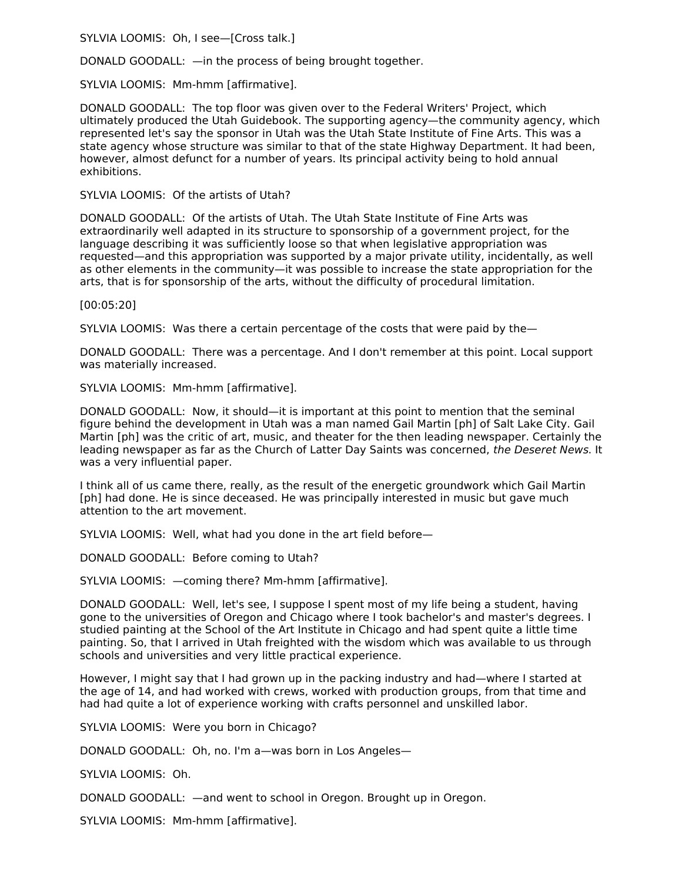SYLVIA LOOMIS: Oh, I see—[Cross talk.]

DONALD GOODALL: —in the process of being brought together.

SYLVIA LOOMIS: Mm-hmm [affirmative].

DONALD GOODALL: The top floor was given over to the Federal Writers' Project, which ultimately produced the Utah Guidebook. The supporting agency—the community agency, which represented let's say the sponsor in Utah was the Utah State Institute of Fine Arts. This was a state agency whose structure was similar to that of the state Highway Department. It had been, however, almost defunct for a number of years. Its principal activity being to hold annual exhibitions.

SYLVIA LOOMIS: Of the artists of Utah?

DONALD GOODALL: Of the artists of Utah. The Utah State Institute of Fine Arts was extraordinarily well adapted in its structure to sponsorship of a government project, for the language describing it was sufficiently loose so that when legislative appropriation was requested—and this appropriation was supported by a major private utility, incidentally, as well as other elements in the community—it was possible to increase the state appropriation for the arts, that is for sponsorship of the arts, without the difficulty of procedural limitation.

[00:05:20]

SYLVIA LOOMIS: Was there a certain percentage of the costs that were paid by the—

DONALD GOODALL: There was a percentage. And I don't remember at this point. Local support was materially increased.

SYLVIA LOOMIS: Mm-hmm [affirmative].

DONALD GOODALL: Now, it should—it is important at this point to mention that the seminal figure behind the development in Utah was a man named Gail Martin [ph] of Salt Lake City. Gail Martin [ph] was the critic of art, music, and theater for the then leading newspaper. Certainly the leading newspaper as far as the Church of Latter Day Saints was concerned, the Deseret News. It was a very influential paper.

I think all of us came there, really, as the result of the energetic groundwork which Gail Martin [ph] had done. He is since deceased. He was principally interested in music but gave much attention to the art movement.

SYLVIA LOOMIS: Well, what had you done in the art field before—

DONALD GOODALL: Before coming to Utah?

SYLVIA LOOMIS: —coming there? Mm-hmm [affirmative].

DONALD GOODALL: Well, let's see, I suppose I spent most of my life being a student, having gone to the universities of Oregon and Chicago where I took bachelor's and master's degrees. I studied painting at the School of the Art Institute in Chicago and had spent quite a little time painting. So, that I arrived in Utah freighted with the wisdom which was available to us through schools and universities and very little practical experience.

However, I might say that I had grown up in the packing industry and had—where I started at the age of 14, and had worked with crews, worked with production groups, from that time and had had quite a lot of experience working with crafts personnel and unskilled labor.

SYLVIA LOOMIS: Were you born in Chicago?

DONALD GOODALL: Oh, no. I'm a—was born in Los Angeles—

SYLVIA LOOMIS: Oh.

DONALD GOODALL: —and went to school in Oregon. Brought up in Oregon.

SYLVIA LOOMIS: Mm-hmm [affirmative].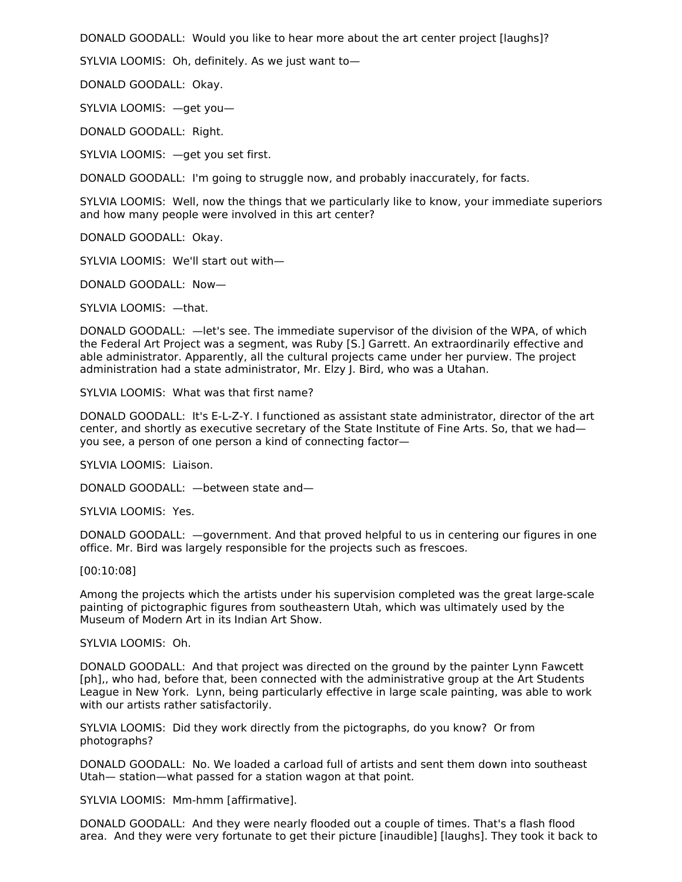DONALD GOODALL: Would you like to hear more about the art center project [laughs]?

SYLVIA LOOMIS: Oh, definitely. As we just want to—

DONALD GOODALL: Okay.

SYLVIA LOOMIS: —get you—

DONALD GOODALL: Right.

SYLVIA LOOMIS: —get you set first.

DONALD GOODALL: I'm going to struggle now, and probably inaccurately, for facts.

SYLVIA LOOMIS: Well, now the things that we particularly like to know, your immediate superiors and how many people were involved in this art center?

DONALD GOODALL: Okay.

SYLVIA LOOMIS: We'll start out with—

DONALD GOODALL: Now—

SYLVIA LOOMIS: —that.

DONALD GOODALL: —let's see. The immediate supervisor of the division of the WPA, of which the Federal Art Project was a segment, was Ruby [S.] Garrett. An extraordinarily effective and able administrator. Apparently, all the cultural projects came under her purview. The project administration had a state administrator, Mr. Elzy J. Bird, who was a Utahan.

SYLVIA LOOMIS: What was that first name?

DONALD GOODALL: It's E-L-Z-Y. I functioned as assistant state administrator, director of the art center, and shortly as executive secretary of the State Institute of Fine Arts. So, that we had you see, a person of one person a kind of connecting factor—

SYLVIA LOOMIS: Liaison.

DONALD GOODALL: —between state and—

SYLVIA LOOMIS: Yes.

DONALD GOODALL: —government. And that proved helpful to us in centering our figures in one office. Mr. Bird was largely responsible for the projects such as frescoes.

[00:10:08]

Among the projects which the artists under his supervision completed was the great large-scale painting of pictographic figures from southeastern Utah, which was ultimately used by the Museum of Modern Art in its Indian Art Show.

#### SYLVIA LOOMIS: Oh.

DONALD GOODALL: And that project was directed on the ground by the painter Lynn Fawcett [ph],, who had, before that, been connected with the administrative group at the Art Students League in New York. Lynn, being particularly effective in large scale painting, was able to work with our artists rather satisfactorily.

SYLVIA LOOMIS: Did they work directly from the pictographs, do you know? Or from photographs?

DONALD GOODALL: No. We loaded a carload full of artists and sent them down into southeast Utah— station—what passed for a station wagon at that point.

SYLVIA LOOMIS: Mm-hmm [affirmative].

DONALD GOODALL: And they were nearly flooded out a couple of times. That's a flash flood area. And they were very fortunate to get their picture [inaudible] [laughs]. They took it back to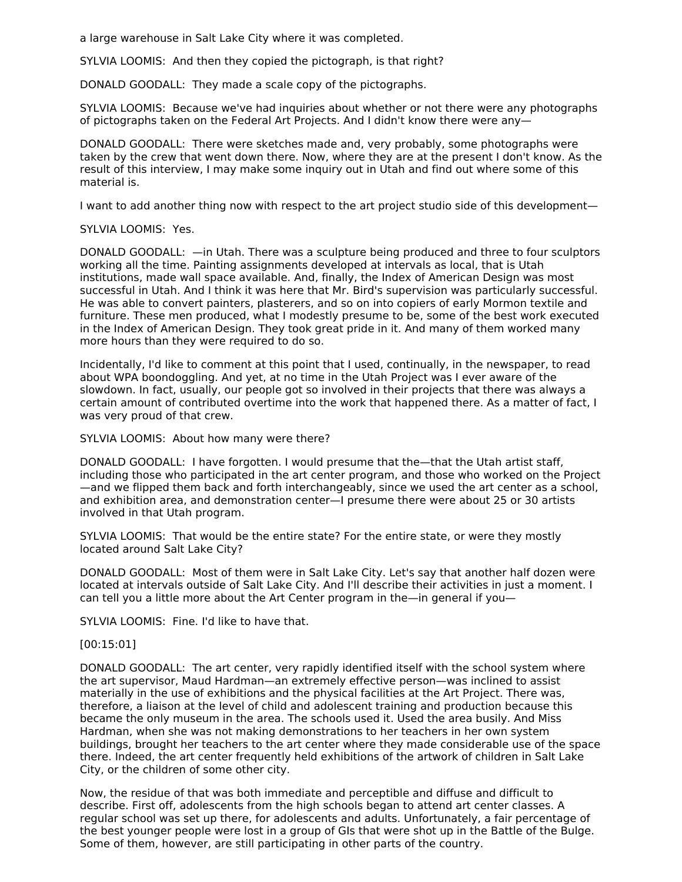a large warehouse in Salt Lake City where it was completed.

SYLVIA LOOMIS: And then they copied the pictograph, is that right?

DONALD GOODALL: They made a scale copy of the pictographs.

SYLVIA LOOMIS: Because we've had inquiries about whether or not there were any photographs of pictographs taken on the Federal Art Projects. And I didn't know there were any—

DONALD GOODALL: There were sketches made and, very probably, some photographs were taken by the crew that went down there. Now, where they are at the present I don't know. As the result of this interview, I may make some inquiry out in Utah and find out where some of this material is.

I want to add another thing now with respect to the art project studio side of this development—

## SYLVIA LOOMIS: Yes.

DONALD GOODALL: —in Utah. There was a sculpture being produced and three to four sculptors working all the time. Painting assignments developed at intervals as local, that is Utah institutions, made wall space available. And, finally, the Index of American Design was most successful in Utah. And I think it was here that Mr. Bird's supervision was particularly successful. He was able to convert painters, plasterers, and so on into copiers of early Mormon textile and furniture. These men produced, what I modestly presume to be, some of the best work executed in the Index of American Design. They took great pride in it. And many of them worked many more hours than they were required to do so.

Incidentally, I'd like to comment at this point that I used, continually, in the newspaper, to read about WPA boondoggling. And yet, at no time in the Utah Project was I ever aware of the slowdown. In fact, usually, our people got so involved in their projects that there was always a certain amount of contributed overtime into the work that happened there. As a matter of fact, I was very proud of that crew.

SYLVIA LOOMIS: About how many were there?

DONALD GOODALL: I have forgotten. I would presume that the—that the Utah artist staff, including those who participated in the art center program, and those who worked on the Project —and we flipped them back and forth interchangeably, since we used the art center as a school, and exhibition area, and demonstration center—I presume there were about 25 or 30 artists involved in that Utah program.

SYLVIA LOOMIS: That would be the entire state? For the entire state, or were they mostly located around Salt Lake City?

DONALD GOODALL: Most of them were in Salt Lake City. Let's say that another half dozen were located at intervals outside of Salt Lake City. And I'll describe their activities in just a moment. I can tell you a little more about the Art Center program in the—in general if you—

SYLVIA LOOMIS: Fine. I'd like to have that.

[00:15:01]

DONALD GOODALL: The art center, very rapidly identified itself with the school system where the art supervisor, Maud Hardman—an extremely effective person—was inclined to assist materially in the use of exhibitions and the physical facilities at the Art Project. There was, therefore, a liaison at the level of child and adolescent training and production because this became the only museum in the area. The schools used it. Used the area busily. And Miss Hardman, when she was not making demonstrations to her teachers in her own system buildings, brought her teachers to the art center where they made considerable use of the space there. Indeed, the art center frequently held exhibitions of the artwork of children in Salt Lake City, or the children of some other city.

Now, the residue of that was both immediate and perceptible and diffuse and difficult to describe. First off, adolescents from the high schools began to attend art center classes. A regular school was set up there, for adolescents and adults. Unfortunately, a fair percentage of the best younger people were lost in a group of GIs that were shot up in the Battle of the Bulge. Some of them, however, are still participating in other parts of the country.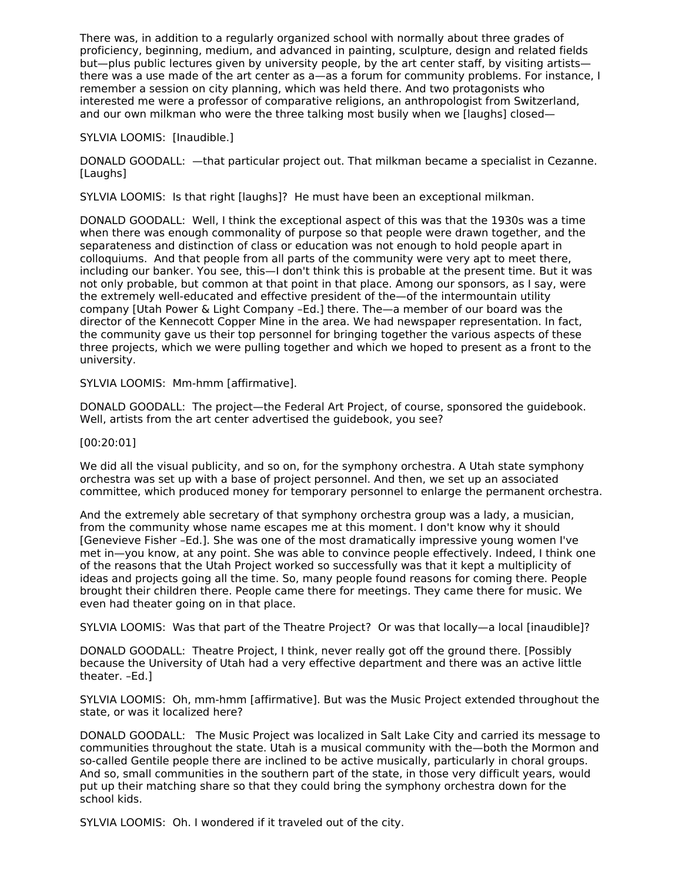There was, in addition to a regularly organized school with normally about three grades of proficiency, beginning, medium, and advanced in painting, sculpture, design and related fields but—plus public lectures given by university people, by the art center staff, by visiting artists there was a use made of the art center as a—as a forum for community problems. For instance, I remember a session on city planning, which was held there. And two protagonists who interested me were a professor of comparative religions, an anthropologist from Switzerland, and our own milkman who were the three talking most busily when we [laughs] closed—

## SYLVIA LOOMIS: [Inaudible.]

DONALD GOODALL: —that particular project out. That milkman became a specialist in Cezanne. [Laughs]

SYLVIA LOOMIS: Is that right [laughs]? He must have been an exceptional milkman.

DONALD GOODALL: Well, I think the exceptional aspect of this was that the 1930s was a time when there was enough commonality of purpose so that people were drawn together, and the separateness and distinction of class or education was not enough to hold people apart in colloquiums. And that people from all parts of the community were very apt to meet there, including our banker. You see, this—I don't think this is probable at the present time. But it was not only probable, but common at that point in that place. Among our sponsors, as I say, were the extremely well-educated and effective president of the—of the intermountain utility company [Utah Power & Light Company –Ed.] there. The—a member of our board was the director of the Kennecott Copper Mine in the area. We had newspaper representation. In fact, the community gave us their top personnel for bringing together the various aspects of these three projects, which we were pulling together and which we hoped to present as a front to the university.

SYLVIA LOOMIS: Mm-hmm [affirmative].

DONALD GOODALL: The project—the Federal Art Project, of course, sponsored the guidebook. Well, artists from the art center advertised the guidebook, you see?

## [00:20:01]

We did all the visual publicity, and so on, for the symphony orchestra. A Utah state symphony orchestra was set up with a base of project personnel. And then, we set up an associated committee, which produced money for temporary personnel to enlarge the permanent orchestra.

And the extremely able secretary of that symphony orchestra group was a lady, a musician, from the community whose name escapes me at this moment. I don't know why it should [Genevieve Fisher –Ed.]. She was one of the most dramatically impressive young women I've met in—you know, at any point. She was able to convince people effectively. Indeed, I think one of the reasons that the Utah Project worked so successfully was that it kept a multiplicity of ideas and projects going all the time. So, many people found reasons for coming there. People brought their children there. People came there for meetings. They came there for music. We even had theater going on in that place.

SYLVIA LOOMIS: Was that part of the Theatre Project? Or was that locally—a local [inaudible]?

DONALD GOODALL: Theatre Project, I think, never really got off the ground there. [Possibly because the University of Utah had a very effective department and there was an active little theater. –Ed.]

SYLVIA LOOMIS: Oh, mm-hmm [affirmative]. But was the Music Project extended throughout the state, or was it localized here?

DONALD GOODALL: The Music Project was localized in Salt Lake City and carried its message to communities throughout the state. Utah is a musical community with the—both the Mormon and so-called Gentile people there are inclined to be active musically, particularly in choral groups. And so, small communities in the southern part of the state, in those very difficult years, would put up their matching share so that they could bring the symphony orchestra down for the school kids.

SYLVIA LOOMIS: Oh. I wondered if it traveled out of the city.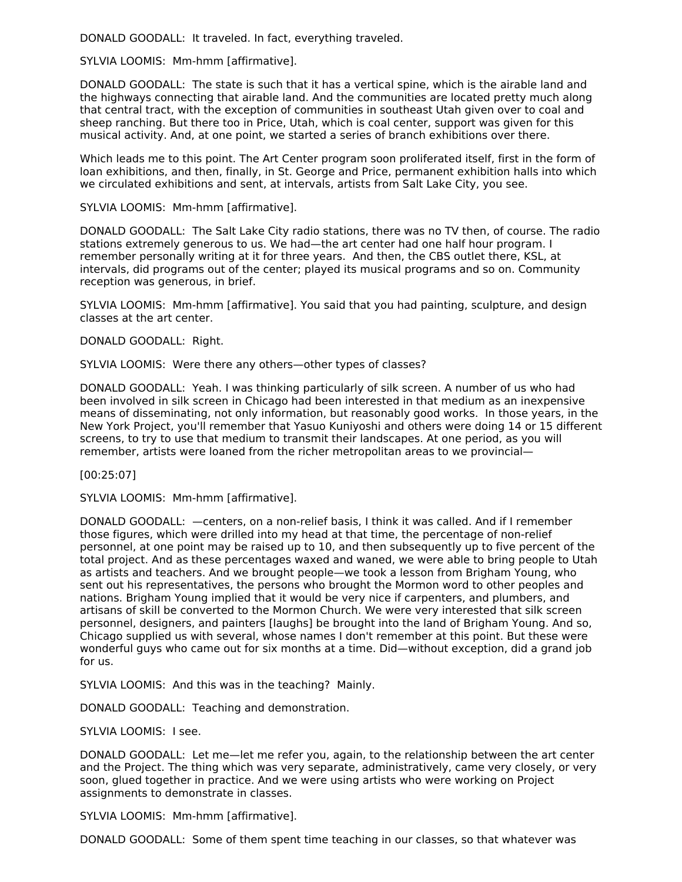DONALD GOODALL: It traveled. In fact, everything traveled.

SYLVIA LOOMIS: Mm-hmm [affirmative].

DONALD GOODALL: The state is such that it has a vertical spine, which is the airable land and the highways connecting that airable land. And the communities are located pretty much along that central tract, with the exception of communities in southeast Utah given over to coal and sheep ranching. But there too in Price, Utah, which is coal center, support was given for this musical activity. And, at one point, we started a series of branch exhibitions over there.

Which leads me to this point. The Art Center program soon proliferated itself, first in the form of loan exhibitions, and then, finally, in St. George and Price, permanent exhibition halls into which we circulated exhibitions and sent, at intervals, artists from Salt Lake City, you see.

## SYLVIA LOOMIS: Mm-hmm [affirmative].

DONALD GOODALL: The Salt Lake City radio stations, there was no TV then, of course. The radio stations extremely generous to us. We had—the art center had one half hour program. I remember personally writing at it for three years. And then, the CBS outlet there, KSL, at intervals, did programs out of the center; played its musical programs and so on. Community reception was generous, in brief.

SYLVIA LOOMIS: Mm-hmm [affirmative]. You said that you had painting, sculpture, and design classes at the art center.

DONALD GOODALL: Right.

SYLVIA LOOMIS: Were there any others—other types of classes?

DONALD GOODALL: Yeah. I was thinking particularly of silk screen. A number of us who had been involved in silk screen in Chicago had been interested in that medium as an inexpensive means of disseminating, not only information, but reasonably good works. In those years, in the New York Project, you'll remember that Yasuo Kuniyoshi and others were doing 14 or 15 different screens, to try to use that medium to transmit their landscapes. At one period, as you will remember, artists were loaned from the richer metropolitan areas to we provincial—

[00:25:07]

SYLVIA LOOMIS: Mm-hmm [affirmative].

DONALD GOODALL: —centers, on a non-relief basis, I think it was called. And if I remember those figures, which were drilled into my head at that time, the percentage of non-relief personnel, at one point may be raised up to 10, and then subsequently up to five percent of the total project. And as these percentages waxed and waned, we were able to bring people to Utah as artists and teachers. And we brought people—we took a lesson from Brigham Young, who sent out his representatives, the persons who brought the Mormon word to other peoples and nations. Brigham Young implied that it would be very nice if carpenters, and plumbers, and artisans of skill be converted to the Mormon Church. We were very interested that silk screen personnel, designers, and painters [laughs] be brought into the land of Brigham Young. And so, Chicago supplied us with several, whose names I don't remember at this point. But these were wonderful guys who came out for six months at a time. Did—without exception, did a grand job for us.

SYLVIA LOOMIS: And this was in the teaching? Mainly.

DONALD GOODALL: Teaching and demonstration.

SYLVIA LOOMIS: I see.

DONALD GOODALL: Let me—let me refer you, again, to the relationship between the art center and the Project. The thing which was very separate, administratively, came very closely, or very soon, glued together in practice. And we were using artists who were working on Project assignments to demonstrate in classes.

SYLVIA LOOMIS: Mm-hmm [affirmative].

DONALD GOODALL: Some of them spent time teaching in our classes, so that whatever was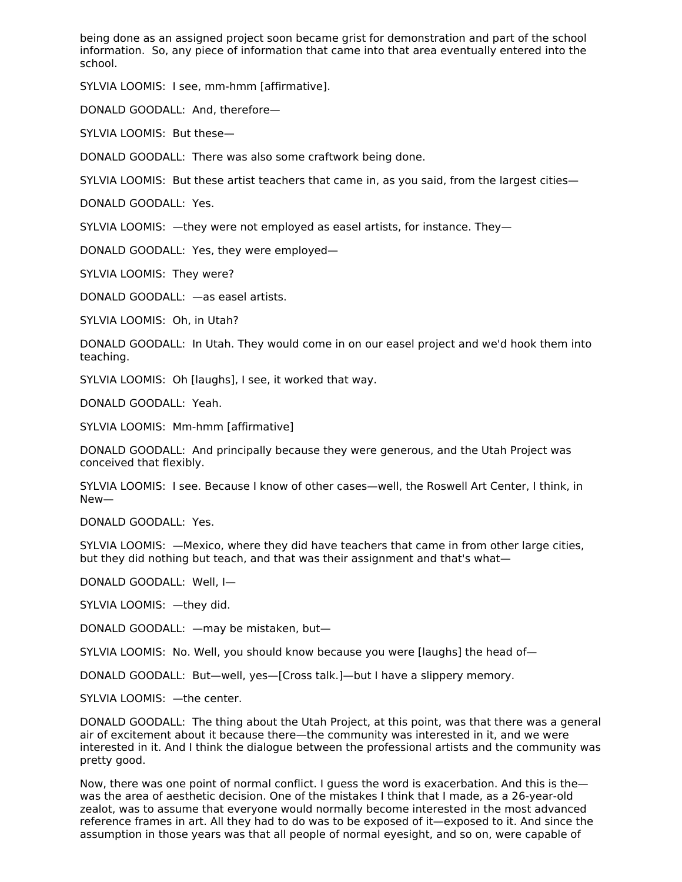being done as an assigned project soon became grist for demonstration and part of the school information. So, any piece of information that came into that area eventually entered into the school.

SYLVIA LOOMIS: I see, mm-hmm [affirmative].

DONALD GOODALL: And, therefore—

SYLVIA LOOMIS: But these—

DONALD GOODALL: There was also some craftwork being done.

SYLVIA LOOMIS: But these artist teachers that came in, as you said, from the largest cities—

DONALD GOODALL: Yes.

SYLVIA LOOMIS: —they were not employed as easel artists, for instance. They—

DONALD GOODALL: Yes, they were employed—

SYLVIA LOOMIS: They were?

DONALD GOODALL: —as easel artists.

SYLVIA LOOMIS: Oh, in Utah?

DONALD GOODALL: In Utah. They would come in on our easel project and we'd hook them into teaching.

SYLVIA LOOMIS: Oh [laughs], I see, it worked that way.

DONALD GOODALL: Yeah.

SYLVIA LOOMIS: Mm-hmm [affirmative]

DONALD GOODALL: And principally because they were generous, and the Utah Project was conceived that flexibly.

SYLVIA LOOMIS: I see. Because I know of other cases—well, the Roswell Art Center, I think, in New—

DONALD GOODALL: Yes.

SYLVIA LOOMIS: —Mexico, where they did have teachers that came in from other large cities, but they did nothing but teach, and that was their assignment and that's what—

DONALD GOODALL: Well, I—

SYLVIA LOOMIS: —they did.

DONALD GOODALL: —may be mistaken, but—

SYLVIA LOOMIS: No. Well, you should know because you were [laughs] the head of—

DONALD GOODALL: But—well, yes—[Cross talk.]—but I have a slippery memory.

SYLVIA LOOMIS: —the center.

DONALD GOODALL: The thing about the Utah Project, at this point, was that there was a general air of excitement about it because there—the community was interested in it, and we were interested in it. And I think the dialogue between the professional artists and the community was pretty good.

Now, there was one point of normal conflict. I guess the word is exacerbation. And this is the was the area of aesthetic decision. One of the mistakes I think that I made, as a 26-year-old zealot, was to assume that everyone would normally become interested in the most advanced reference frames in art. All they had to do was to be exposed of it—exposed to it. And since the assumption in those years was that all people of normal eyesight, and so on, were capable of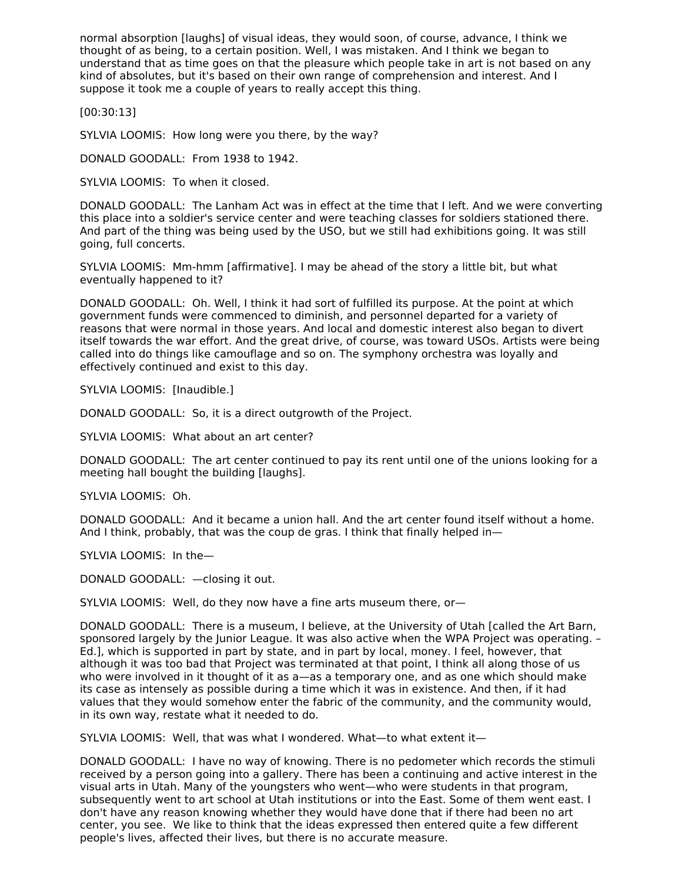normal absorption [laughs] of visual ideas, they would soon, of course, advance, I think we thought of as being, to a certain position. Well, I was mistaken. And I think we began to understand that as time goes on that the pleasure which people take in art is not based on any kind of absolutes, but it's based on their own range of comprehension and interest. And I suppose it took me a couple of years to really accept this thing.

[00:30:13]

SYLVIA LOOMIS: How long were you there, by the way?

DONALD GOODALL: From 1938 to 1942.

SYLVIA LOOMIS: To when it closed.

DONALD GOODALL: The Lanham Act was in effect at the time that I left. And we were converting this place into a soldier's service center and were teaching classes for soldiers stationed there. And part of the thing was being used by the USO, but we still had exhibitions going. It was still going, full concerts.

SYLVIA LOOMIS: Mm-hmm [affirmative]. I may be ahead of the story a little bit, but what eventually happened to it?

DONALD GOODALL: Oh. Well, I think it had sort of fulfilled its purpose. At the point at which government funds were commenced to diminish, and personnel departed for a variety of reasons that were normal in those years. And local and domestic interest also began to divert itself towards the war effort. And the great drive, of course, was toward USOs. Artists were being called into do things like camouflage and so on. The symphony orchestra was loyally and effectively continued and exist to this day.

SYLVIA LOOMIS: [Inaudible.]

DONALD GOODALL: So, it is a direct outgrowth of the Project.

SYLVIA LOOMIS: What about an art center?

DONALD GOODALL: The art center continued to pay its rent until one of the unions looking for a meeting hall bought the building [laughs].

SYLVIA LOOMIS: Oh.

DONALD GOODALL: And it became a union hall. And the art center found itself without a home. And I think, probably, that was the coup de gras. I think that finally helped in—

SYLVIA LOOMIS: In the—

DONALD GOODALL: —closing it out.

SYLVIA LOOMIS: Well, do they now have a fine arts museum there, or—

DONALD GOODALL: There is a museum, I believe, at the University of Utah [called the Art Barn, sponsored largely by the Junior League. It was also active when the WPA Project was operating. -Ed.], which is supported in part by state, and in part by local, money. I feel, however, that although it was too bad that Project was terminated at that point, I think all along those of us who were involved in it thought of it as a—as a temporary one, and as one which should make its case as intensely as possible during a time which it was in existence. And then, if it had values that they would somehow enter the fabric of the community, and the community would, in its own way, restate what it needed to do.

SYLVIA LOOMIS: Well, that was what I wondered. What—to what extent it—

DONALD GOODALL: I have no way of knowing. There is no pedometer which records the stimuli received by a person going into a gallery. There has been a continuing and active interest in the visual arts in Utah. Many of the youngsters who went—who were students in that program, subsequently went to art school at Utah institutions or into the East. Some of them went east. I don't have any reason knowing whether they would have done that if there had been no art center, you see. We like to think that the ideas expressed then entered quite a few different people's lives, affected their lives, but there is no accurate measure.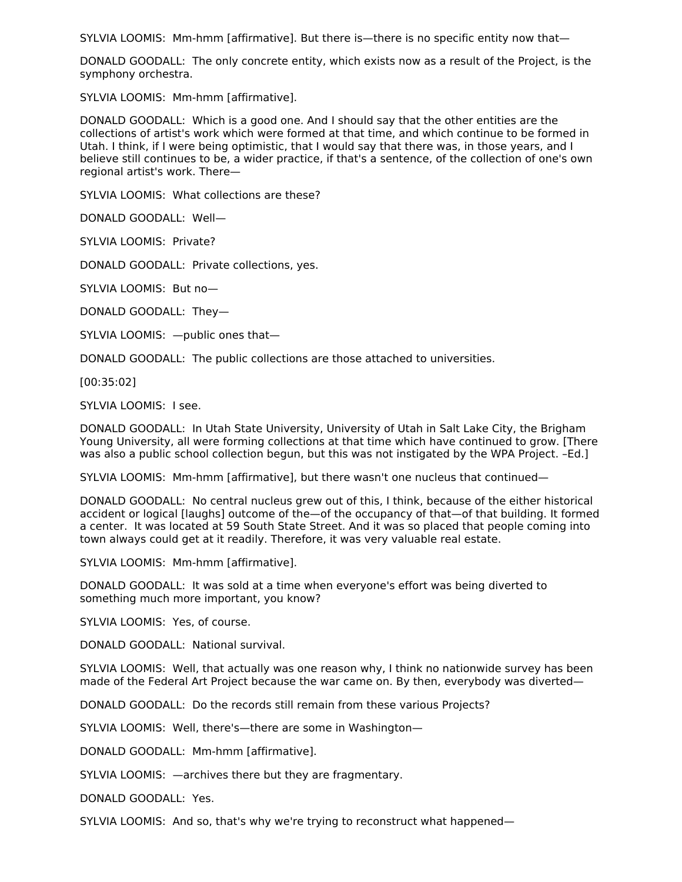SYLVIA LOOMIS: Mm-hmm [affirmative]. But there is—there is no specific entity now that—

DONALD GOODALL: The only concrete entity, which exists now as a result of the Project, is the symphony orchestra.

SYLVIA LOOMIS: Mm-hmm [affirmative].

DONALD GOODALL: Which is a good one. And I should say that the other entities are the collections of artist's work which were formed at that time, and which continue to be formed in Utah. I think, if I were being optimistic, that I would say that there was, in those years, and I believe still continues to be, a wider practice, if that's a sentence, of the collection of one's own regional artist's work. There—

SYLVIA LOOMIS: What collections are these?

DONALD GOODALL: Well—

SYLVIA LOOMIS: Private?

DONALD GOODALL: Private collections, yes.

SYLVIA LOOMIS: But no—

DONALD GOODALL: They—

SYLVIA LOOMIS: —public ones that—

DONALD GOODALL: The public collections are those attached to universities.

[00:35:02]

SYLVIA LOOMIS: I see.

DONALD GOODALL: In Utah State University, University of Utah in Salt Lake City, the Brigham Young University, all were forming collections at that time which have continued to grow. [There was also a public school collection begun, but this was not instigated by the WPA Project. –Ed.]

SYLVIA LOOMIS: Mm-hmm [affirmative], but there wasn't one nucleus that continued—

DONALD GOODALL: No central nucleus grew out of this, I think, because of the either historical accident or logical [laughs] outcome of the—of the occupancy of that—of that building. It formed a center. It was located at 59 South State Street. And it was so placed that people coming into town always could get at it readily. Therefore, it was very valuable real estate.

SYLVIA LOOMIS: Mm-hmm [affirmative].

DONALD GOODALL: It was sold at a time when everyone's effort was being diverted to something much more important, you know?

SYLVIA LOOMIS: Yes, of course.

DONALD GOODALL: National survival.

SYLVIA LOOMIS: Well, that actually was one reason why, I think no nationwide survey has been made of the Federal Art Project because the war came on. By then, everybody was diverted—

DONALD GOODALL: Do the records still remain from these various Projects?

SYLVIA LOOMIS: Well, there's—there are some in Washington—

DONALD GOODALL: Mm-hmm [affirmative].

SYLVIA LOOMIS: —archives there but they are fragmentary.

DONALD GOODALL: Yes.

SYLVIA LOOMIS: And so, that's why we're trying to reconstruct what happened—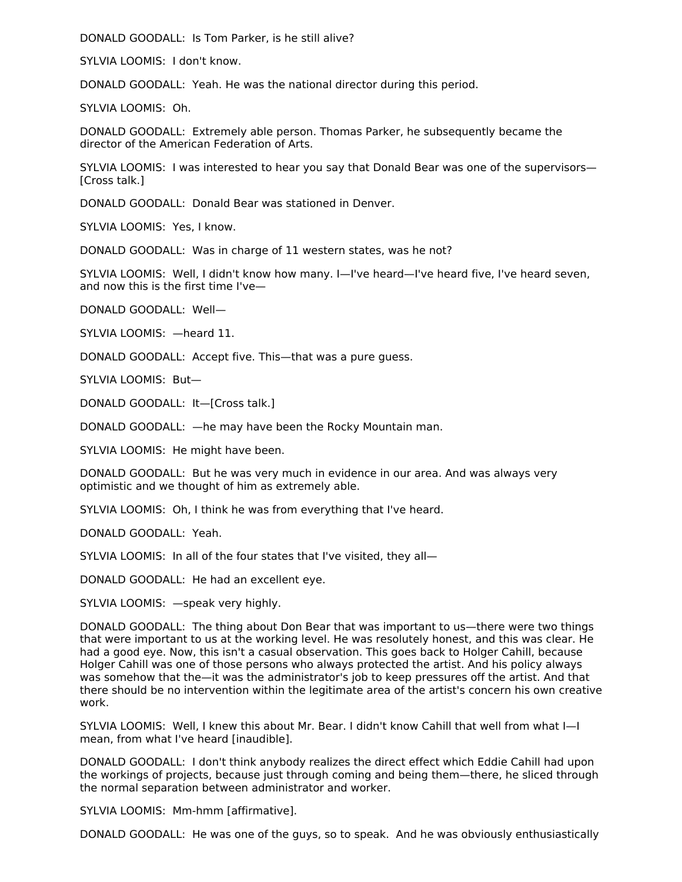DONALD GOODALL: Is Tom Parker, is he still alive?

SYLVIA LOOMIS: I don't know.

DONALD GOODALL: Yeah. He was the national director during this period.

SYLVIA LOOMIS: Oh.

DONALD GOODALL: Extremely able person. Thomas Parker, he subsequently became the director of the American Federation of Arts.

SYLVIA LOOMIS: I was interested to hear you say that Donald Bear was one of the supervisors— [Cross talk.]

DONALD GOODALL: Donald Bear was stationed in Denver.

SYLVIA LOOMIS: Yes, I know.

DONALD GOODALL: Was in charge of 11 western states, was he not?

SYLVIA LOOMIS: Well, I didn't know how many. I—I've heard—I've heard five, I've heard seven, and now this is the first time I've—

DONALD GOODALL: Well—

SYLVIA LOOMIS: —heard 11.

DONALD GOODALL: Accept five. This—that was a pure guess.

SYLVIA LOOMIS: But—

DONALD GOODALL: It—[Cross talk.]

DONALD GOODALL: —he may have been the Rocky Mountain man.

SYLVIA LOOMIS: He might have been.

DONALD GOODALL: But he was very much in evidence in our area. And was always very optimistic and we thought of him as extremely able.

SYLVIA LOOMIS: Oh, I think he was from everything that I've heard.

DONALD GOODALL: Yeah.

SYLVIA LOOMIS: In all of the four states that I've visited, they all—

DONALD GOODALL: He had an excellent eye.

SYLVIA LOOMIS: —speak very highly.

DONALD GOODALL: The thing about Don Bear that was important to us—there were two things that were important to us at the working level. He was resolutely honest, and this was clear. He had a good eye. Now, this isn't a casual observation. This goes back to Holger Cahill, because Holger Cahill was one of those persons who always protected the artist. And his policy always was somehow that the—it was the administrator's job to keep pressures off the artist. And that there should be no intervention within the legitimate area of the artist's concern his own creative work.

SYLVIA LOOMIS: Well, I knew this about Mr. Bear. I didn't know Cahill that well from what I—I mean, from what I've heard [inaudible].

DONALD GOODALL: I don't think anybody realizes the direct effect which Eddie Cahill had upon the workings of projects, because just through coming and being them—there, he sliced through the normal separation between administrator and worker.

SYLVIA LOOMIS: Mm-hmm [affirmative].

DONALD GOODALL: He was one of the guys, so to speak. And he was obviously enthusiastically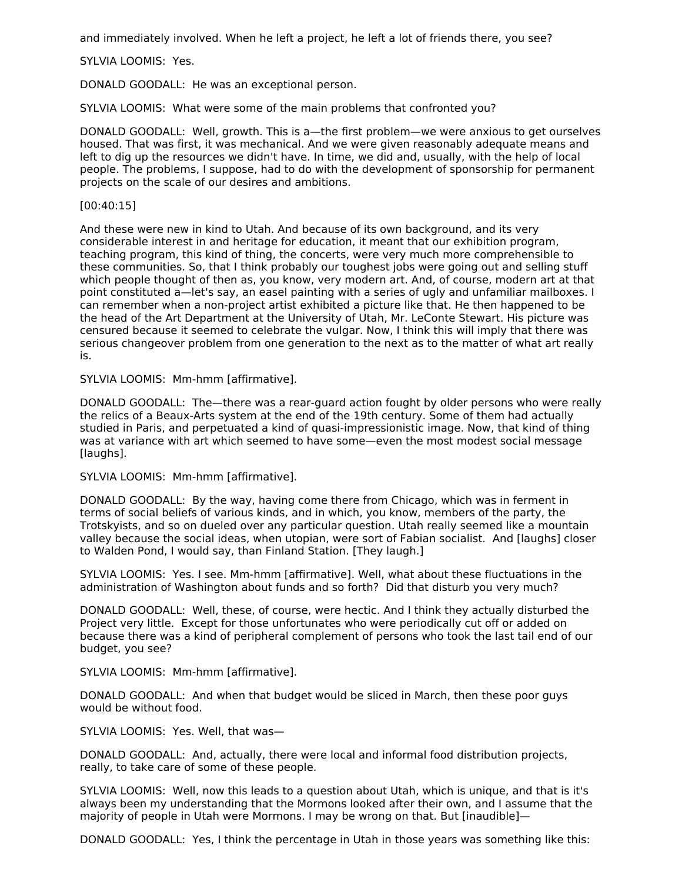and immediately involved. When he left a project, he left a lot of friends there, you see?

SYLVIA LOOMIS: Yes.

DONALD GOODALL: He was an exceptional person.

SYLVIA LOOMIS: What were some of the main problems that confronted you?

DONALD GOODALL: Well, growth. This is a—the first problem—we were anxious to get ourselves housed. That was first, it was mechanical. And we were given reasonably adequate means and left to dig up the resources we didn't have. In time, we did and, usually, with the help of local people. The problems, I suppose, had to do with the development of sponsorship for permanent projects on the scale of our desires and ambitions.

[00:40:15]

And these were new in kind to Utah. And because of its own background, and its very considerable interest in and heritage for education, it meant that our exhibition program, teaching program, this kind of thing, the concerts, were very much more comprehensible to these communities. So, that I think probably our toughest jobs were going out and selling stuff which people thought of then as, you know, very modern art. And, of course, modern art at that point constituted a—let's say, an easel painting with a series of ugly and unfamiliar mailboxes. I can remember when a non-project artist exhibited a picture like that. He then happened to be the head of the Art Department at the University of Utah, Mr. LeConte Stewart. His picture was censured because it seemed to celebrate the vulgar. Now, I think this will imply that there was serious changeover problem from one generation to the next as to the matter of what art really is.

SYLVIA LOOMIS: Mm-hmm [affirmative].

DONALD GOODALL: The—there was a rear-guard action fought by older persons who were really the relics of a Beaux-Arts system at the end of the 19th century. Some of them had actually studied in Paris, and perpetuated a kind of quasi-impressionistic image. Now, that kind of thing was at variance with art which seemed to have some—even the most modest social message [laughs].

SYLVIA LOOMIS: Mm-hmm [affirmative].

DONALD GOODALL: By the way, having come there from Chicago, which was in ferment in terms of social beliefs of various kinds, and in which, you know, members of the party, the Trotskyists, and so on dueled over any particular question. Utah really seemed like a mountain valley because the social ideas, when utopian, were sort of Fabian socialist. And [laughs] closer to Walden Pond, I would say, than Finland Station. [They laugh.]

SYLVIA LOOMIS: Yes. I see. Mm-hmm [affirmative]. Well, what about these fluctuations in the administration of Washington about funds and so forth? Did that disturb you very much?

DONALD GOODALL: Well, these, of course, were hectic. And I think they actually disturbed the Project very little. Except for those unfortunates who were periodically cut off or added on because there was a kind of peripheral complement of persons who took the last tail end of our budget, you see?

SYLVIA LOOMIS: Mm-hmm [affirmative].

DONALD GOODALL: And when that budget would be sliced in March, then these poor guys would be without food.

SYLVIA LOOMIS: Yes. Well, that was—

DONALD GOODALL: And, actually, there were local and informal food distribution projects, really, to take care of some of these people.

SYLVIA LOOMIS: Well, now this leads to a question about Utah, which is unique, and that is it's always been my understanding that the Mormons looked after their own, and I assume that the majority of people in Utah were Mormons. I may be wrong on that. But [inaudible]—

DONALD GOODALL: Yes, I think the percentage in Utah in those years was something like this: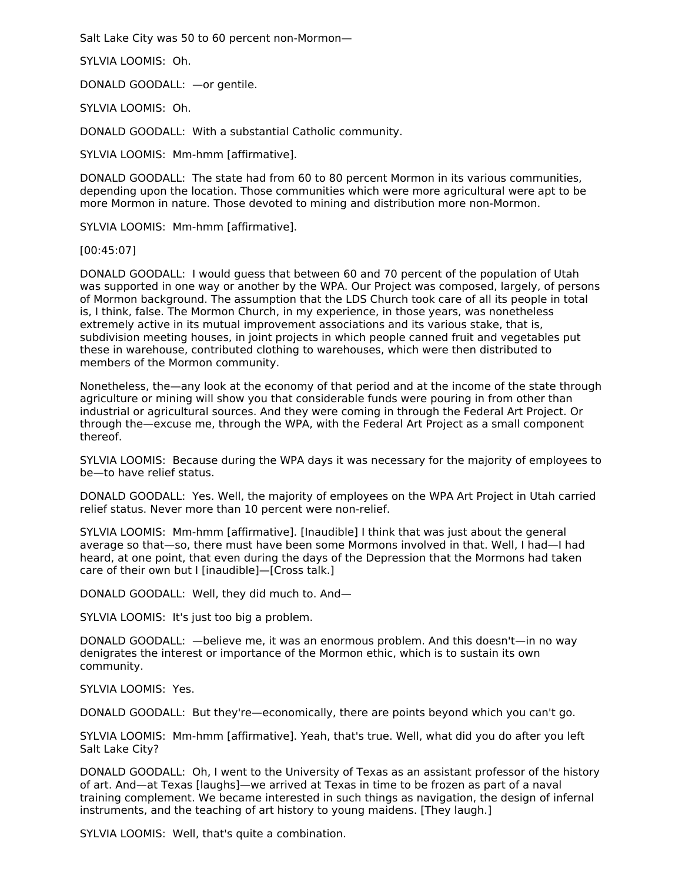Salt Lake City was 50 to 60 percent non-Mormon—

SYLVIA LOOMIS: Oh.

DONALD GOODALL: —or gentile.

SYLVIA LOOMIS: Oh.

DONALD GOODALL: With a substantial Catholic community.

SYLVIA LOOMIS: Mm-hmm [affirmative].

DONALD GOODALL: The state had from 60 to 80 percent Mormon in its various communities, depending upon the location. Those communities which were more agricultural were apt to be more Mormon in nature. Those devoted to mining and distribution more non-Mormon.

SYLVIA LOOMIS: Mm-hmm [affirmative].

[00:45:07]

DONALD GOODALL: I would guess that between 60 and 70 percent of the population of Utah was supported in one way or another by the WPA. Our Project was composed, largely, of persons of Mormon background. The assumption that the LDS Church took care of all its people in total is, I think, false. The Mormon Church, in my experience, in those years, was nonetheless extremely active in its mutual improvement associations and its various stake, that is, subdivision meeting houses, in joint projects in which people canned fruit and vegetables put these in warehouse, contributed clothing to warehouses, which were then distributed to members of the Mormon community.

Nonetheless, the—any look at the economy of that period and at the income of the state through agriculture or mining will show you that considerable funds were pouring in from other than industrial or agricultural sources. And they were coming in through the Federal Art Project. Or through the—excuse me, through the WPA, with the Federal Art Project as a small component thereof.

SYLVIA LOOMIS: Because during the WPA days it was necessary for the majority of employees to be—to have relief status.

DONALD GOODALL: Yes. Well, the majority of employees on the WPA Art Project in Utah carried relief status. Never more than 10 percent were non-relief.

SYLVIA LOOMIS: Mm-hmm [affirmative]. [Inaudible] I think that was just about the general average so that—so, there must have been some Mormons involved in that. Well, I had—I had heard, at one point, that even during the days of the Depression that the Mormons had taken care of their own but I [inaudible]—[Cross talk.]

DONALD GOODALL: Well, they did much to. And—

SYLVIA LOOMIS: It's just too big a problem.

DONALD GOODALL: —believe me, it was an enormous problem. And this doesn't—in no way denigrates the interest or importance of the Mormon ethic, which is to sustain its own community.

SYLVIA LOOMIS: Yes.

DONALD GOODALL: But they're—economically, there are points beyond which you can't go.

SYLVIA LOOMIS: Mm-hmm [affirmative]. Yeah, that's true. Well, what did you do after you left Salt Lake City?

DONALD GOODALL: Oh, I went to the University of Texas as an assistant professor of the history of art. And—at Texas [laughs]—we arrived at Texas in time to be frozen as part of a naval training complement. We became interested in such things as navigation, the design of infernal instruments, and the teaching of art history to young maidens. [They laugh.]

SYLVIA LOOMIS: Well, that's quite a combination.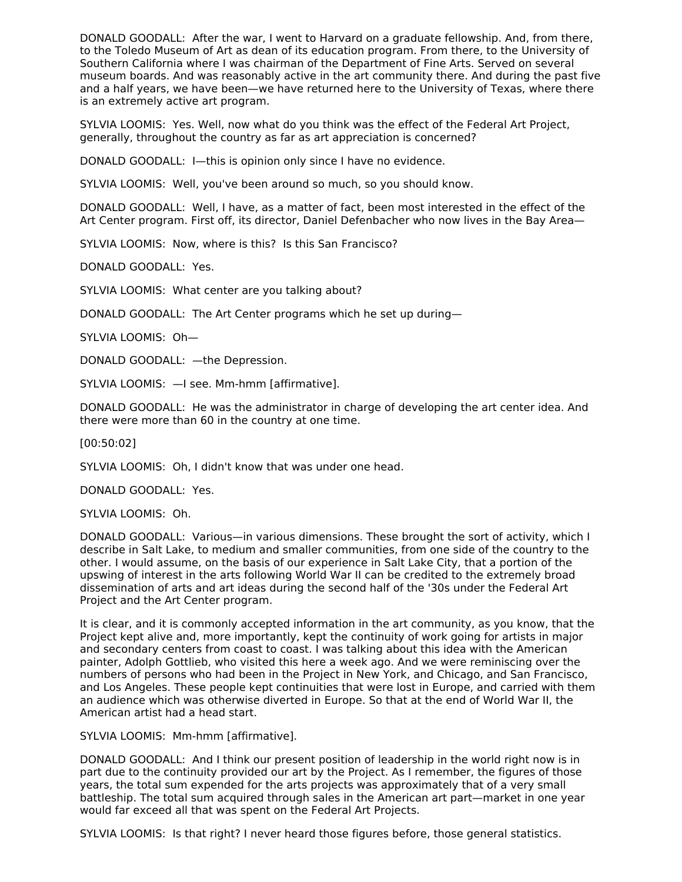DONALD GOODALL: After the war, I went to Harvard on a graduate fellowship. And, from there, to the Toledo Museum of Art as dean of its education program. From there, to the University of Southern California where I was chairman of the Department of Fine Arts. Served on several museum boards. And was reasonably active in the art community there. And during the past five and a half years, we have been—we have returned here to the University of Texas, where there is an extremely active art program.

SYLVIA LOOMIS: Yes. Well, now what do you think was the effect of the Federal Art Project, generally, throughout the country as far as art appreciation is concerned?

DONALD GOODALL: I—this is opinion only since I have no evidence.

SYLVIA LOOMIS: Well, you've been around so much, so you should know.

DONALD GOODALL: Well, I have, as a matter of fact, been most interested in the effect of the Art Center program. First off, its director, Daniel Defenbacher who now lives in the Bay Area—

SYLVIA LOOMIS: Now, where is this? Is this San Francisco?

DONALD GOODALL: Yes.

SYLVIA LOOMIS: What center are you talking about?

DONALD GOODALL: The Art Center programs which he set up during—

SYLVIA LOOMIS: Oh—

DONALD GOODALL: —the Depression.

SYLVIA LOOMIS: —I see. Mm-hmm [affirmative].

DONALD GOODALL: He was the administrator in charge of developing the art center idea. And there were more than 60 in the country at one time.

[00:50:02]

SYLVIA LOOMIS: Oh, I didn't know that was under one head.

DONALD GOODALL: Yes.

SYLVIA LOOMIS: Oh.

DONALD GOODALL: Various—in various dimensions. These brought the sort of activity, which I describe in Salt Lake, to medium and smaller communities, from one side of the country to the other. I would assume, on the basis of our experience in Salt Lake City, that a portion of the upswing of interest in the arts following World War II can be credited to the extremely broad dissemination of arts and art ideas during the second half of the '30s under the Federal Art Project and the Art Center program.

It is clear, and it is commonly accepted information in the art community, as you know, that the Project kept alive and, more importantly, kept the continuity of work going for artists in major and secondary centers from coast to coast. I was talking about this idea with the American painter, Adolph Gottlieb, who visited this here a week ago. And we were reminiscing over the numbers of persons who had been in the Project in New York, and Chicago, and San Francisco, and Los Angeles. These people kept continuities that were lost in Europe, and carried with them an audience which was otherwise diverted in Europe. So that at the end of World War II, the American artist had a head start.

SYLVIA LOOMIS: Mm-hmm [affirmative].

DONALD GOODALL: And I think our present position of leadership in the world right now is in part due to the continuity provided our art by the Project. As I remember, the figures of those years, the total sum expended for the arts projects was approximately that of a very small battleship. The total sum acquired through sales in the American art part—market in one year would far exceed all that was spent on the Federal Art Projects.

SYLVIA LOOMIS: Is that right? I never heard those figures before, those general statistics.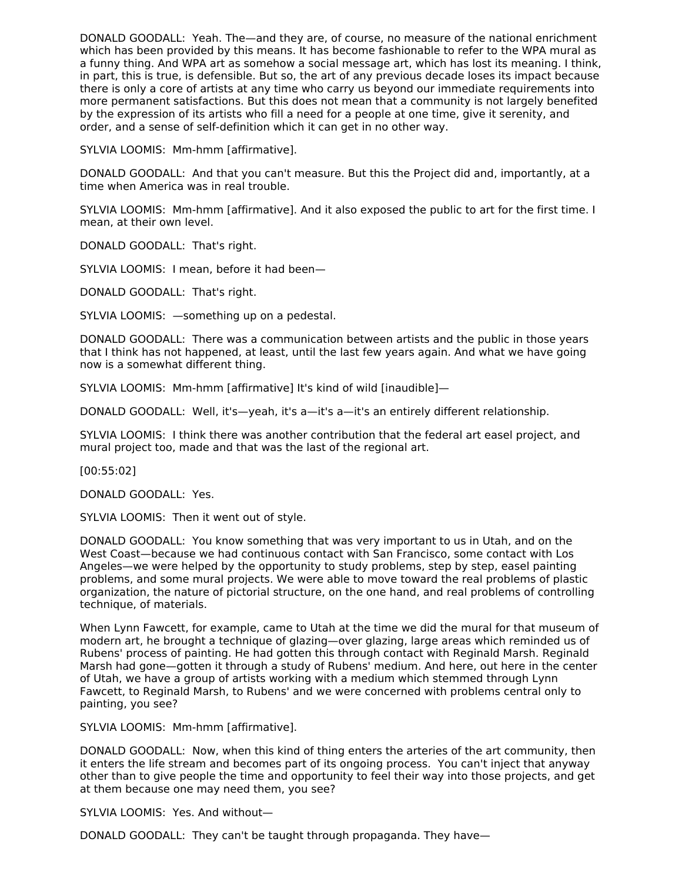DONALD GOODALL: Yeah. The—and they are, of course, no measure of the national enrichment which has been provided by this means. It has become fashionable to refer to the WPA mural as a funny thing. And WPA art as somehow a social message art, which has lost its meaning. I think, in part, this is true, is defensible. But so, the art of any previous decade loses its impact because there is only a core of artists at any time who carry us beyond our immediate requirements into more permanent satisfactions. But this does not mean that a community is not largely benefited by the expression of its artists who fill a need for a people at one time, give it serenity, and order, and a sense of self-definition which it can get in no other way.

SYLVIA LOOMIS: Mm-hmm [affirmative].

DONALD GOODALL: And that you can't measure. But this the Project did and, importantly, at a time when America was in real trouble.

SYLVIA LOOMIS: Mm-hmm [affirmative]. And it also exposed the public to art for the first time. I mean, at their own level.

DONALD GOODALL: That's right.

SYLVIA LOOMIS: I mean, before it had been—

DONALD GOODALL: That's right.

SYLVIA LOOMIS: —something up on a pedestal.

DONALD GOODALL: There was a communication between artists and the public in those years that I think has not happened, at least, until the last few years again. And what we have going now is a somewhat different thing.

SYLVIA LOOMIS: Mm-hmm [affirmative] It's kind of wild [inaudible]—

DONALD GOODALL: Well, it's—yeah, it's a—it's a—it's an entirely different relationship.

SYLVIA LOOMIS: I think there was another contribution that the federal art easel project, and mural project too, made and that was the last of the regional art.

[00:55:02]

DONALD GOODALL: Yes.

SYLVIA LOOMIS: Then it went out of style.

DONALD GOODALL: You know something that was very important to us in Utah, and on the West Coast—because we had continuous contact with San Francisco, some contact with Los Angeles—we were helped by the opportunity to study problems, step by step, easel painting problems, and some mural projects. We were able to move toward the real problems of plastic organization, the nature of pictorial structure, on the one hand, and real problems of controlling technique, of materials.

When Lynn Fawcett, for example, came to Utah at the time we did the mural for that museum of modern art, he brought a technique of glazing—over glazing, large areas which reminded us of Rubens' process of painting. He had gotten this through contact with Reginald Marsh. Reginald Marsh had gone—gotten it through a study of Rubens' medium. And here, out here in the center of Utah, we have a group of artists working with a medium which stemmed through Lynn Fawcett, to Reginald Marsh, to Rubens' and we were concerned with problems central only to painting, you see?

SYLVIA LOOMIS: Mm-hmm [affirmative].

DONALD GOODALL: Now, when this kind of thing enters the arteries of the art community, then it enters the life stream and becomes part of its ongoing process. You can't inject that anyway other than to give people the time and opportunity to feel their way into those projects, and get at them because one may need them, you see?

SYLVIA LOOMIS: Yes. And without—

DONALD GOODALL: They can't be taught through propaganda. They have—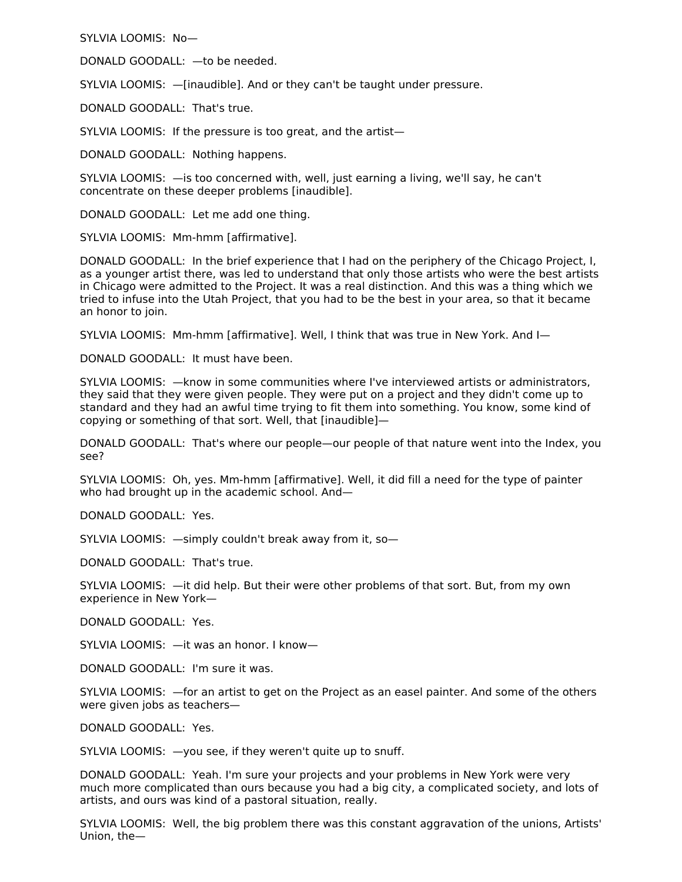SYLVIA LOOMIS: No—

DONALD GOODALL: —to be needed.

SYLVIA LOOMIS: —[inaudible]. And or they can't be taught under pressure.

DONALD GOODALL: That's true.

SYLVIA LOOMIS: If the pressure is too great, and the artist—

DONALD GOODALL: Nothing happens.

SYLVIA LOOMIS: —is too concerned with, well, just earning a living, we'll say, he can't concentrate on these deeper problems [inaudible].

DONALD GOODALL: Let me add one thing.

SYLVIA LOOMIS: Mm-hmm [affirmative].

DONALD GOODALL: In the brief experience that I had on the periphery of the Chicago Project, I, as a younger artist there, was led to understand that only those artists who were the best artists in Chicago were admitted to the Project. It was a real distinction. And this was a thing which we tried to infuse into the Utah Project, that you had to be the best in your area, so that it became an honor to join.

SYLVIA LOOMIS: Mm-hmm [affirmative]. Well, I think that was true in New York. And I—

DONALD GOODALL: It must have been.

SYLVIA LOOMIS: —know in some communities where I've interviewed artists or administrators, they said that they were given people. They were put on a project and they didn't come up to standard and they had an awful time trying to fit them into something. You know, some kind of copying or something of that sort. Well, that [inaudible]—

DONALD GOODALL: That's where our people—our people of that nature went into the Index, you see?

SYLVIA LOOMIS: Oh, yes. Mm-hmm [affirmative]. Well, it did fill a need for the type of painter who had brought up in the academic school. And—

DONALD GOODALL: Yes.

SYLVIA LOOMIS: —simply couldn't break away from it, so—

DONALD GOODALL: That's true.

SYLVIA LOOMIS: —it did help. But their were other problems of that sort. But, from my own experience in New York—

DONALD GOODALL: Yes.

SYLVIA LOOMIS: —it was an honor. I know—

DONALD GOODALL: I'm sure it was.

SYLVIA LOOMIS: —for an artist to get on the Project as an easel painter. And some of the others were given jobs as teachers—

DONALD GOODALL: Yes.

SYLVIA LOOMIS: —you see, if they weren't quite up to snuff.

DONALD GOODALL: Yeah. I'm sure your projects and your problems in New York were very much more complicated than ours because you had a big city, a complicated society, and lots of artists, and ours was kind of a pastoral situation, really.

SYLVIA LOOMIS: Well, the big problem there was this constant aggravation of the unions, Artists' Union, the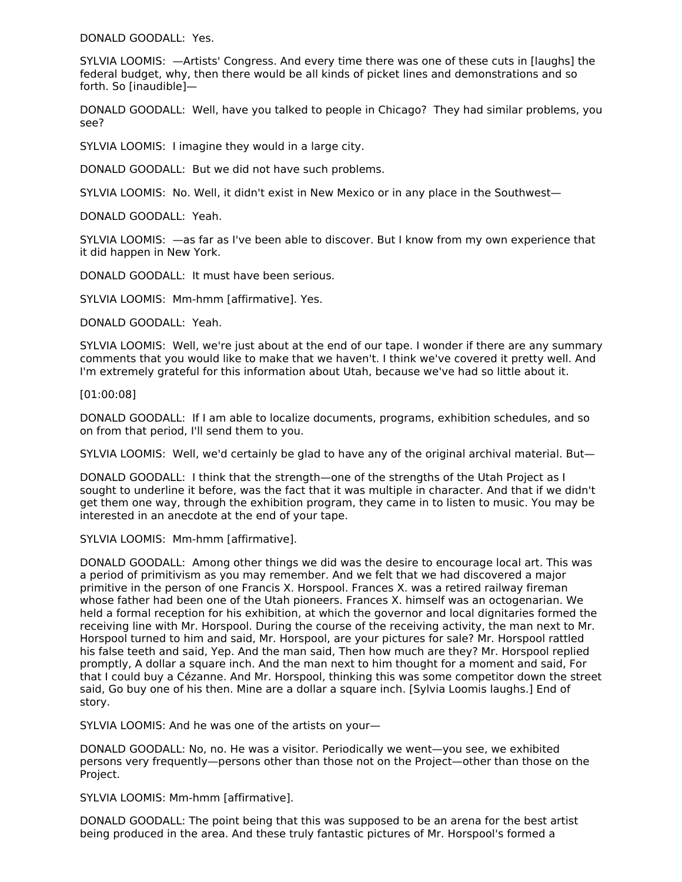DONALD GOODALL: Yes.

SYLVIA LOOMIS: —Artists' Congress. And every time there was one of these cuts in [laughs] the federal budget, why, then there would be all kinds of picket lines and demonstrations and so forth. So [inaudible]—

DONALD GOODALL: Well, have you talked to people in Chicago? They had similar problems, you see?

SYLVIA LOOMIS: I imagine they would in a large city.

DONALD GOODALL: But we did not have such problems.

SYLVIA LOOMIS: No. Well, it didn't exist in New Mexico or in any place in the Southwest—

DONALD GOODALL: Yeah.

SYLVIA LOOMIS: —as far as I've been able to discover. But I know from my own experience that it did happen in New York.

DONALD GOODALL: It must have been serious.

SYLVIA LOOMIS: Mm-hmm [affirmative]. Yes.

DONALD GOODALL: Yeah.

SYLVIA LOOMIS: Well, we're just about at the end of our tape. I wonder if there are any summary comments that you would like to make that we haven't. I think we've covered it pretty well. And I'm extremely grateful for this information about Utah, because we've had so little about it.

[01:00:08]

DONALD GOODALL: If I am able to localize documents, programs, exhibition schedules, and so on from that period, I'll send them to you.

SYLVIA LOOMIS: Well, we'd certainly be glad to have any of the original archival material. But—

DONALD GOODALL: I think that the strength—one of the strengths of the Utah Project as I sought to underline it before, was the fact that it was multiple in character. And that if we didn't get them one way, through the exhibition program, they came in to listen to music. You may be interested in an anecdote at the end of your tape.

SYLVIA LOOMIS: Mm-hmm [affirmative].

DONALD GOODALL: Among other things we did was the desire to encourage local art. This was a period of primitivism as you may remember. And we felt that we had discovered a major primitive in the person of one Francis X. Horspool. Frances X. was a retired railway fireman whose father had been one of the Utah pioneers. Frances X. himself was an octogenarian. We held a formal reception for his exhibition, at which the governor and local dignitaries formed the receiving line with Mr. Horspool. During the course of the receiving activity, the man next to Mr. Horspool turned to him and said, Mr. Horspool, are your pictures for sale? Mr. Horspool rattled his false teeth and said, Yep. And the man said, Then how much are they? Mr. Horspool replied promptly, A dollar a square inch. And the man next to him thought for a moment and said, For that I could buy a Cézanne. And Mr. Horspool, thinking this was some competitor down the street said, Go buy one of his then. Mine are a dollar a square inch. [Sylvia Loomis laughs.] End of story.

SYLVIA LOOMIS: And he was one of the artists on your—

DONALD GOODALL: No, no. He was a visitor. Periodically we went—you see, we exhibited persons very frequently—persons other than those not on the Project—other than those on the Project.

SYLVIA LOOMIS: Mm-hmm [affirmative].

DONALD GOODALL: The point being that this was supposed to be an arena for the best artist being produced in the area. And these truly fantastic pictures of Mr. Horspool's formed a